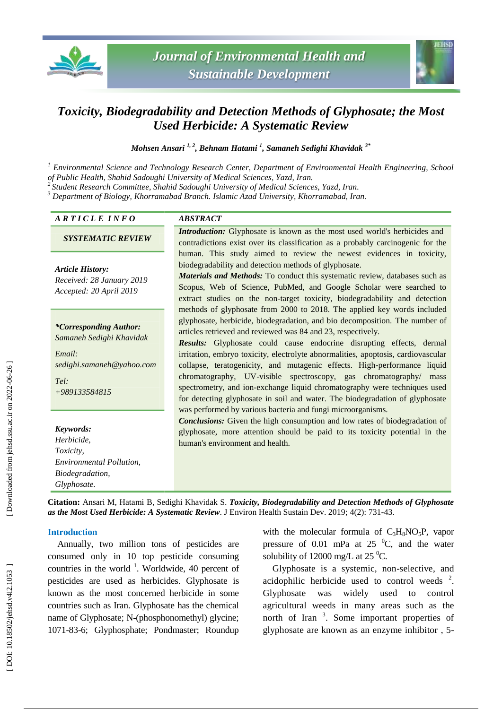



# *Toxicity, Biodegradability and Detection Methods of Glyphosate; the Most Used Herbicide: A Systematic Review*

*Mohsen Ansari 1, 2 , Behnam Hatami 1 , Samaneh Sedighi Khavidak 3\**

*<sup>1</sup> Environmental Science and Technology Research Center, Department of Environmental Health Engineering, School of Public Health, Shahid Sadoughi University of Medical Sciences, Yazd, Iran.*

*<sup>2</sup>Student Research Committee, Shahid Sadoughi University of Medical Sciences, Yazd, Iran .*

*<sup>3</sup> Department of Biology, Khorramabad Branch. Islamic Azad University, Khorramabad, Iran.*

### *A R T I C L E I N F O ABSTRACT*

*SYSTEMATIC REVIEW*

*Article History: Received: 2 8 January 201 9*

*Accepted: 20 April 201 9*

*\*Corresponding Author: Samaneh Sedighi Khavidak*

*Email: sedighi.samaneh@yahoo.com*

*Tel: +989133584815*

*Keywords: Herbicide, Toxicity, Environmental Pollution, Biodegradation, Glyphosate .*

*Introduction:* Glyphosate is known as the most used world's herbicides and contradictions exist over its classification as a probably carcinogenic for the human. This study aimed to review the newest evidences in toxicity, biodegradability and detection methods of glyphosate.

*Materials and Methods:* To conduct this systematic review, databases such as Scopus, Web of Science, PubMed, and Google Scholar were searched to extract studies on the non -target toxicity, biodegradability and detection methods of glyphosate from 2000 to 2018. The applied key words included glyphosate, herbicide, biodegradation, and bio decomposition. The number of articles retrieved and reviewed was 84 and 23, respectively.

*Results:* Glyphosate could cause endocrine disrupting effects, dermal irritation, embryo toxicity, electrolyte abnormalities, apoptosis, cardiovascular collapse, teratogenicity, and mutagenic effects. High -performance liquid chromatography, UV -visible spectroscopy, gas chromatography/ mass spectrometry, and ion -exchange liquid chromatography were techniques used for detecting glyphosate in soil and water. The biodegradation of glyphosate was performed by various bacteria and fungi microorganisms.

*Conclusions:* Given the high consumption and low rates of biodegradation of glyphosate, more attention should be paid to its toxicity potential in the human's environment and health.

Citation: Ansari M, Hatami B, Sedighi Khavidak S. *Toxicity, Biodegradability and Detection Methods of Glyphosate* as the Most Used Herbicide: A Systematic Review. J Environ Health Sustain Dev. 2019; 4(2): 731-43.

#### **Introduction**

Annually, two million tons of pesticides are consumed only in 10 top pesticide consuming countries in the world  $^1$ . Worldwide, 40 percent of pesticides are used as herbicides. Glyphosate is known as the most concerned herbicide in some countries such as Iran . Glyphosate has the chemical name of Glyphosate; N -(phosphonomethyl) glycine; 1071 -83 -6; Glyphosphate; Pondmaster; Roundup

with the molecular formula of C<sub>3</sub>H<sub>8</sub>NO<sub>5</sub>P, vapor pressure of 0.01 mPa at 25  $^{\circ}$ C, and the water solubility of 12000 mg/L at 25 $\mathrm{^0C}$ .

Glyphosate is a systemic, non -selective , and acidophilic herbicide used to control weeds<sup>2</sup>. Glyphosate was widely used to control agricultural weeds in many areas such as the north of Iran  $3$ . Some important properties of glyphosate are known as an enzyme inhibitor , 5 -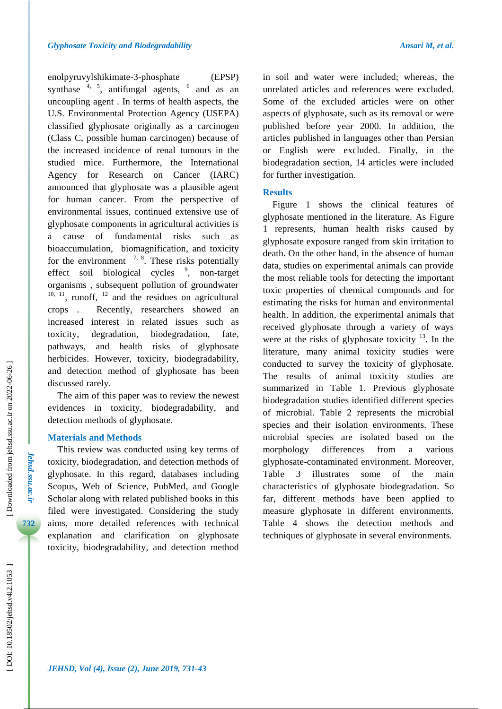enolpyruvylshikimate - 3 -phosphate (EPSP) synthase  $4, 5$ , antifungal agents,  $6$  and as an uncoupling agent . In terms of health aspects, the U.S. Environmental Protection Agency (USEPA) classified glyphosate originally as a carcinogen (Class C, possible human carcinogen) because of the increased incidence of renal tumours in the studied mice. Furthermore, the International Agency Research on Cancer (IARC) announced that glyphosate was a plausible agent for human cancer. From the perspective of environmental issues, continued extensive use of glyphosate components in agricultural activities is a cause of fundamental risks such as bioaccumulation, biomagnification , and toxicity for the environment  $\frac{7}{6}$ ,  $\frac{8}{6}$ . These risks potentially effect soil biological cycles <sup>9</sup>, non-target organisms , subsequent pollution of groundwater  $10, 11$ , runoff,  $12$  and the residues on agricultural crops . Recently, researchers showed an increased interest in related issues such as toxicity, degradation , biodegradation, fate , pathways , and health risks of glyphosate herbicides. However, toxicity, biodegradability , and detection method of glyphosate has been discussed rarely. The aim of this paper was to review the newest

evidences in toxicity, biodegradability , and detection methods of glyphosate.

#### **Materials and Methods**

This review was conducted using key terms of toxicity, biodegradation , and detection methods of glyphosate. In this regard, databases including Scopus, Web of Science, PubMed , and Google Scholar along with related published books in this filed were investigated . Considering the study aims, more detailed references with technical explanation and clarification on glyphosate toxicity, biodegradability , and detection method

unrelated articles and references were excluded . Some of the excluded articles were on other aspects of glyphosate , such as its removal or were published before year 2000. In addition, the articles published in languages other than Persian or English were excluded. Finally, in the biodegradation section, 14 articles were included for further investigation .

#### **Results**

Figure 1 shows the clinical features of glyphosate mentioned in the literature. As Figure 1 represents, human health risks caused by glyphosate exposure ranged from skin irritation to death. On the other hand, in the absence of human data, studies on experimental animals can provide the most reliable tools for detecting the important toxic properties of chemical compounds and for estimating the risks for human and environmental health. In addition, the experimental animals that received glyphosate through a variety of ways were at the risks of glyphosate toxicity  $13$ . In the literature, many animal toxicity studies were conducted to survey the toxicity of glyphosate. The results of animal toxicity studies are summarized in Table 1. Previous glyphosate biodegradation studies identified different species of microbial. Table 2 represents the microbial species and their isolation environments. These microbial species are isolated based on the morphology differences from a various glyphosate -contaminated environment. Moreover , Table 3 illustrates some of the main characteristics of glyphosate biodegradation. So far, different methods have been applied to measure glyphosate in different environments. Table 4 shows the detection methods and techniques of glyphosate in several environments.

*Jehsd.ssu.ac.ir*

Jehsd.ssu.ac.ii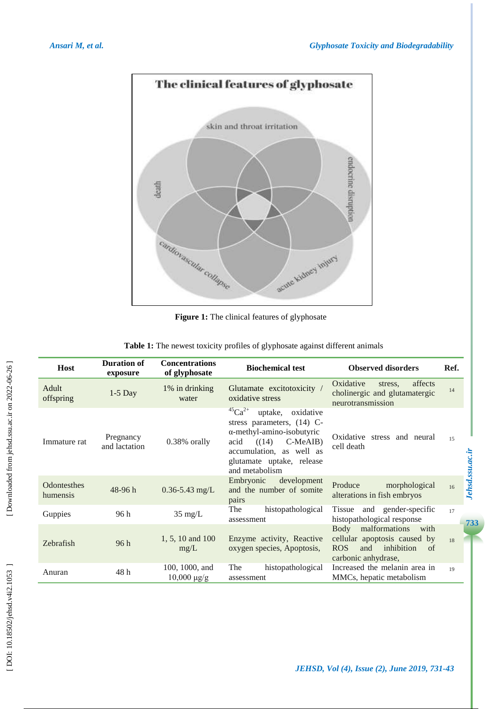

**Figure 1 :** The clinical features of glyphosate

| Table 1: The newest toxicity profiles of glyphosate against different animals |  |  |  |  |
|-------------------------------------------------------------------------------|--|--|--|--|
|-------------------------------------------------------------------------------|--|--|--|--|

| <b>Host</b>                    | <b>Duration of</b><br>exposure | <b>Concentrations</b><br>of glyphosate | <b>Biochemical test</b>                                                                                                                                                                                            | <b>Observed disorders</b>                                                                                                     | Ref.                                       |
|--------------------------------|--------------------------------|----------------------------------------|--------------------------------------------------------------------------------------------------------------------------------------------------------------------------------------------------------------------|-------------------------------------------------------------------------------------------------------------------------------|--------------------------------------------|
| Adult<br>offspring             | $1-5$ Day                      | 1% in drinking<br>water                | Glutamate excitotoxicity /<br>oxidative stress                                                                                                                                                                     | Oxidative<br>affects<br>stress.<br>cholinergic and glutamatergic<br>neurotransmission                                         | 14                                         |
| Immature rat                   | Pregnancy<br>and lactation     | 0.38% orally                           | $^{45}Ca^{2+}$<br>oxidative<br>uptake,<br>stress parameters, $(14)$ C-<br>$\alpha$ -methyl-amino-isobutyric<br>C-MeAIB)<br>(14)<br>acid<br>accumulation, as well as<br>glutamate uptake, release<br>and metabolism | Oxidative stress and neural<br>cell death                                                                                     | 15<br><b><i><u>Iehsd.ssu.ac.ir</u></i></b> |
| <b>Odontesthes</b><br>humensis | 48-96h                         | $0.36 - 5.43$ mg/L                     | Embryonic<br>development<br>and the number of somite<br>pairs                                                                                                                                                      | Produce<br>morphological<br>alterations in fish embryos                                                                       | 16                                         |
| Guppies                        | 96 h                           | $35 \text{ mg/L}$                      | histopathological<br>The<br>assessment                                                                                                                                                                             | and gender-specific<br>Tissue<br>histopathological response                                                                   | 17                                         |
| Zebrafish                      | 96h                            | 1, 5, 10 and 100<br>mg/L               | Enzyme activity, Reactive<br>oxygen species, Apoptosis,                                                                                                                                                            | malformations<br>Body<br>with<br>cellular apoptosis caused by<br>inhibition<br><b>ROS</b><br>and<br>of<br>carbonic anhydrase, | 18                                         |
| Anuran                         | 48h                            | 100, 1000, and<br>$10,000 \mu g/g$     | histopathological<br>The<br>assessment                                                                                                                                                                             | Increased the melanin area in<br>MMCs, hepatic metabolism                                                                     | 19                                         |

*JEHSD, Vol (4), Issue (2), June 2019, 731 -43*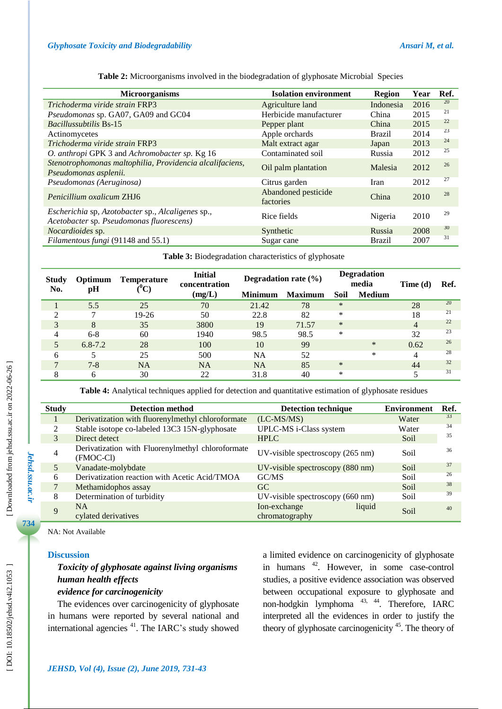**Table 2 :** Microorganisms involved in the biodegradation of glyphosate Microbial Species

| <b>Microorganisms</b>                                                                         | <b>Isolation environment</b>     | <b>Region</b> | Year | Ref. |
|-----------------------------------------------------------------------------------------------|----------------------------------|---------------|------|------|
| Trichoderma viride strain FRP3                                                                | Agriculture land                 | Indonesia     | 2016 | 20   |
| Pseudomonas sp. GA07, GA09 and GC04                                                           | Herbicide manufacturer           | China         | 2015 | 21   |
| <b>Bacillussubtilis Bs-15</b>                                                                 | Pepper plant                     | China         | 2015 | 22   |
| Actinomycetes                                                                                 | Apple orchards                   | <b>Brazil</b> | 2014 | 23   |
| Trichoderma viride strain FRP3                                                                | Malt extract agar                | Japan         | 2013 | 24   |
| O. anthropi GPK 3 and Achromobacter sp. Kg 16                                                 | Contaminated soil                | Russia        | 2012 | 25   |
| Stenotrophomonas maltophilia, Providencia alcalifaciens,<br>Pseudomonas asplenii.             | Oil palm plantation              | Malesia       | 2012 | 26   |
| Pseudomonas (Aeruginosa)                                                                      | Citrus garden                    | Iran          | 2012 | 27   |
| Penicillium oxalicum ZHJ6                                                                     | Abandoned pesticide<br>factories | China         | 2010 | 28   |
| Escherichia sp, Azotobacter sp., Alcaligenes sp.,<br>Acetobacter sp. Pseudomonas fluorescens) | Rice fields                      | Nigeria       | 2010 | 29   |
| Nocardioides sp.                                                                              | Synthetic                        | Russia        | 2008 | 30   |
| Filamentous fungi (91148 and 55.1)                                                            | Sugar cane                       | <b>Brazil</b> | 2007 | 31   |

| <b>Study</b><br>Optimum<br>No.<br>pН |             | <b>Temperature</b><br>$\rm ^{0}C)$ | <b>Initial</b><br>concentration | Degradation rate $(\% )$ |                | <b>Degradation</b><br>media |               | Time $(d)$ | Ref. |
|--------------------------------------|-------------|------------------------------------|---------------------------------|--------------------------|----------------|-----------------------------|---------------|------------|------|
|                                      |             |                                    | (mg/L)                          | <b>Minimum</b>           | <b>Maximum</b> | Soil                        | <b>Medium</b> |            |      |
|                                      | 5.5         | 25                                 | 70                              | 21.42                    | 78             | $\ast$                      |               | 28         | 20   |
|                                      | 7           | $19-26$                            | 50                              | 22.8                     | 82             | ∗                           |               | 18         | 21   |
| 3                                    | 8           | 35                                 | 3800                            | 19                       | 71.57          | $\ast$                      |               | 4          | 22   |
| 4                                    | $6 - 8$     | 60                                 | 1940                            | 98.5                     | 98.5           | *                           |               | 32         | 23   |
| 5                                    | $6.8 - 7.2$ | 28                                 | 100                             | 10                       | 99             |                             | $\ast$        | 0.62       | 26   |
| 6                                    | 5           | 25                                 | 500                             | NA                       | 52             |                             | *             | 4          | 28   |
|                                      | $7 - 8$     | <b>NA</b>                          | <b>NA</b>                       | <b>NA</b>                | 85             | $\ast$                      |               | 44         | 32   |
| 8                                    | 6           | 30                                 | 22                              | 31.8                     | 40             | $\ast$                      |               |            | 31   |

**Table 3 :** Biodegradation characteristics of glyphosate

**Table 4 :** Analytical techniques applied for detection and quantitative estimation of glyphosate residues

| <b>Study</b>                | <b>Detection method</b>                                           | <b>Detection technique</b>                 | <b>Environment</b> | Ref. |
|-----------------------------|-------------------------------------------------------------------|--------------------------------------------|--------------------|------|
|                             | Derivatization with fluorenylmethyl chloroformate<br>$(LC-MS/MS)$ |                                            | Water              | 33   |
| $\mathcal{D}_{\mathcal{L}}$ | Stable isotope co-labeled 13C3 15N-glyphosate                     | UPLC-MS i-Class system                     | Water              | 34   |
|                             | Direct detect                                                     | <b>HPLC</b>                                | Soil               | 35   |
|                             | Derivatization with Fluorenylmethyl chloroformate<br>(FMOC-CI)    | UV-visible spectroscopy $(265 \text{ nm})$ | Soil               | 36   |
|                             | Vanadate-molybdate                                                | UV-visible spectroscopy (880 nm)           | Soil               | 37   |
| 6                           | Derivatization reaction with Acetic Acid/TMOA                     | GCMS                                       | Soil               | 26   |
|                             | Methamidophos assay                                               | GC.                                        | Soil               | 38   |
| 8                           | Determination of turbidity                                        | UV-visible spectroscopy (660 nm)           | Soil               | 39   |
| 9                           | <b>NA</b><br>cylated derivatives                                  | Ion-exchange<br>liquid<br>chromatography   | Soil               | 40   |

NA: Not Available

#### **Discussion**

# *Toxicity of glyphosate against living organisms human health effects*

## *evidence for carcinogenicity*

The evidence s over carcinogenicity of glyphosate in humans were reported by several national and international agencies <sup>41</sup>. The IARC's study showed a limited evidence on carcinogenicity of glyphosate in humans <sup>42</sup>. However, in some case-control studies, a positive evidence association was observed between occupational exposure to glyphosate and non-hodgkin lymphoma<sup>43,44</sup>. Therefore, IARC interpreted all the evidence s in order to justify the theory of glyphosate carcinogenicity <sup>45</sup>. The theory of

*Jehsd.ssu.ac.ir*

Jehsd.ssu.ac.ir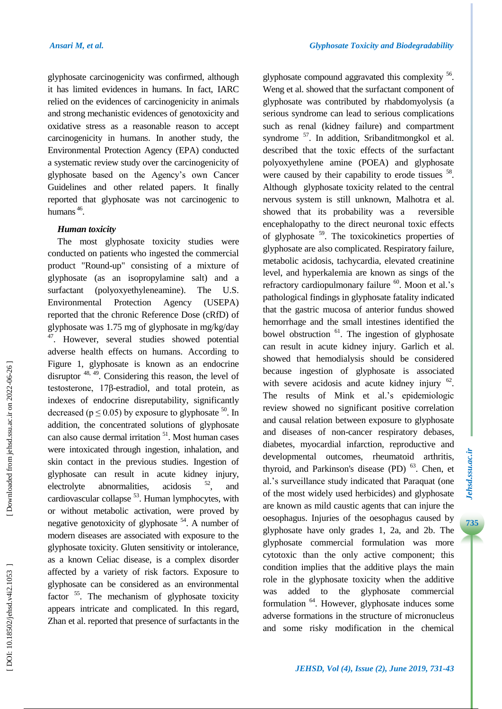glyphosate carcinogenicity was confirmed, although it has limited evidence s in humans. In fact, IARC relied on the evidences of carcinogenicity in animals and strong mechanistic evidence s o f genotoxicity and oxidative stress as a reasonable reason to accept carcinogenicity in humans. In another study, the Environmental Protection Agency (EPA) conducted a systematic review study over the carcinogenicity of glyphosate based on the Agency's own Cancer Guidelines and other related papers. It finally reported that glyphosate was not carcinogenic to humans<sup>46</sup>.

## *Human toxicity*

The most glyphosate toxicity studies were conducted on patients who ingested the commercial product "Round -up" consisting of a mixture of glyphosate (as an isopropylamine salt) and a surfactant (polyoxyethyleneamine). The U.S. Environmental Protection Agency (USEPA) reported that the chronic Reference Dose (cRfD) of glyphosate was 1.75 mg of glyphosate in mg/kg/day <sup>47</sup>. However, several studies showed potential adverse health effects on humans. According to Figure 1, glyphosate is known as an endocrine disruptor <sup>48, 49</sup>. Considering this reason, the level of testosterone, 17β-estradiol, and total protein, as indexes of endocrine disreputability , significantly decreased ( $p \le 0.05$ ) by exposure to glyphosate <sup>50</sup>. In addition, the concentrated solutions of glyphosate can also cause dermal irritation <sup>51</sup>. Most human cases were intoxicated through ingestion, inhalation, and skin contact in the previous studies. Ingestion of glyphosate can result in acute kidney injury, electrolyte abnormalities, acidosis  $52$ , and cardiovascular collapse<sup>53</sup>. Human lymphocytes, with or without metabolic activation, were proved by negative genotoxicity of glyphosate <sup>54</sup>. A number of modern diseases are associated with exposure to the glyphosate toxicity. Gluten sensitivity or intolerance, as a known Celiac disease, is a complex disorder affected by a variety of risk factors. Exposure to glyphosate can be considered as an environmental factor<sup>55</sup>. The mechanism of glyphosate toxicity appears intricate and complicated. In this regard , Zhan et al. reported that presence of surfactants in the

glyphosate compound aggravated this complexity <sup>56</sup>. Weng et al. showed that the surfactant component of glyphosate was contributed by rhabdomyolysis (a serious syndrome can lead to serious complications such as renal (kidney failure) and compartment syndrome<sup>57</sup>. In addition, Sribanditmongkol et al. described that the toxic effects of the surfactant polyoxyethylene amine (POEA) and glyphosate were caused by their capability to erode tissues <sup>58</sup>. Although glyphosate toxicity related to the central nervous system is still unknown, Malhotra et al. showed that its probability was a reversible encephalopathy to the direct neuronal toxic effects of glyphosate <sup>59</sup>. The toxicokinetics properties of glyphosate are also complicated. Respiratory failure, metabolic acidosis, tachycardia, elevated creatinine level, and hyperkalemia are known as sings of the refractory cardiopulmonary failure <sup>60</sup>. Moon et al.'s pathological findings in glyphosate fatality indicate d that the gastric mucosa of anterior fundus showed hemorrhage and the small intestines identified the bowel obstruction <sup>61</sup>. The ingestion of glyphosate can result in acute kidney injury. Garlich et al. showed that hemodialysis should be considered because ingestion of glyphosate is associated with severe acidosis and acute kidney injury  $62$ . The results of Mink et al .'s epidemiologic review showed no significant positive correlation and causal relation between exposure to glyphosate and diseases of non -cancer respiratory debases, diabetes, myocardial infarction, reproductive and developmental outcomes, rheumatoid arthritis, thyroid, and Parkinson's disease (PD)<sup>63</sup>. Chen, et al .'s surveillance study indicated that Paraquat (one of the most widely used herbicides) and glyphosate are known as mild caustic agents that can injure the oesophagus. Injuries of the oesophagus caused by glyphosate have only grades 1, 2a, and 2b . The glyphosate commercial formulation was more cytotoxic than the only active component; this condition implies that the additive plays the main role in the glyphosate toxicity when the additive was added to the glyphosate commercial formulation <sup>64</sup>. However, glyphosate induces some adverse formations in the structure of micronucleus and some risky modification in the chemical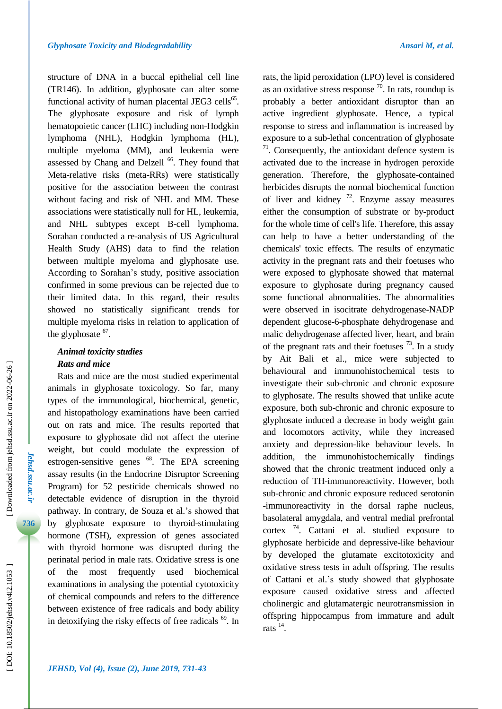structure of DNA in a buccal epithelial cell line (TR146). In addition, glyphosate can alter some functional activity of human placental JEG3 cells<sup>65</sup>. The glyphosate exposure and risk of lymph hematopoietic cancer (LHC) including non -Hodgkin lymphoma (NHL ), Hodgkin lymphoma (HL), multiple myeloma (MM), and leukemia were assessed by Chang and Delzell<sup>66</sup>. They found that Meta -relative risks (meta -RRs) were statistically positive for the association between the contrast without facing and risk of NHL and MM. These associations were statistically null for HL, leukemia, and NHL subtypes except B -cell lymphoma. Sorahan conducted a re -analysis of US Agricultural Health Study (AHS) data to find the relation between multiple myeloma and glyphosate use. According to Sorahan's study, positive association confirmed in some previous can be rejected due to their limited data . In this regard, their results showed no statistically significant trends for multiple myeloma risks in relation to application of the glyphosate  $67$ .

## *Animal toxicity studies Rats and mice*

Rats and mice are the most studied experimental animals in glyphosate toxicology . So far, many types of the immunological, biochemical, genetic , and histopathology examinations have been carried out on rats and mice. The results reported that exposure to glyphosate did not affect the uterine weight, but could modulate the expression of estrogen-sensitive genes <sup>68</sup>. The EPA screening assay results (in the Endocrine Disruptor Screening Program) for 52 pesticide chemicals showed no detectable evidence of disruption in the thyroid pathway. In contrary, de Souza et al .'s showed that by glyphosate exposure to thyroid -stimulating hormone (TSH) , expression of genes associated with thyroid hormone was disrupted during the perinatal period in male rats . Oxidative stress is one of the most frequently used biochemical examinations in analysing the potential cytotoxicity of chemical compounds and refers to the difference between existence of free radicals and body ability in detoxifying the risky effects of free radicals <sup>69</sup>. In rats, the lipid peroxidation (LPO) level is considered as an oxidative stress response  $\frac{70}{1}$ . In rats, roundup is probably a better antioxidant disruptor than an active ingredient glyphosate. Hence, a typical response to stress and inflammation is increased by exposure to a sub -lethal concentration of glyphosate 71 . Consequently, the antioxidant defence system is activated due to the increase in hydrogen peroxide generation. Therefore, the glyphosate -contained herbicides disrupts the normal biochemical function of liver and kidney  $^{72}$ . Enzyme assay measures either the consumption of substrate or by -product for the whole time of cell's life . Therefore, this assay can help to have a better understanding of the chemicals' toxic effects. The results of enzymatic activity in the pregnant rats and their foetuses who were exposed to glyphosate showed that maternal exposure to glyphosate during pregnancy caused some functional abnormalities . The abnormalities were observed in isocitrate dehydrogenase -NADP dependent glucose - 6 -phosphate dehydrogenase and malic dehydrogenase affected liver, heart, and brain of the pregnant rats and their foetuses  $73$ . In a study by Ait Bali et al., mice were subjected to behavioural and immunohistochemical tests to investigate their sub -chronic and chronic exposure to glyphosate. The results showed that unlike acute exposure, both sub -chronic and chronic exposure to glyphosate induced a decrease in body weight gain and locomotors activity, while they increase d anxiety and depression -like behaviour levels. In addition, the immunohistochemically findings showed that the chronic treatment induced only a reduction of TH -immunoreactivity. However, both sub -chronic and chronic exposure reduced serotonin -immunoreactivity in the dorsal raphe nucleus, basolateral amygdala , and ventral medial prefrontal cortex <sup>74</sup> . Cattani et al. studied exposure to glyphosate herbicide and depressive -like behaviour by developed the glutamate excitotoxicity and oxidative stress tests in adult offspring. The results of Cattani et al .'s study showed that glyphosate exposure caused oxidative stress and affected cholinergic and glutamatergic neurotransmission in offspring hippocampus from immature and adult rats  $^{14}$ .

*Jehsd.ssu.ac.ir*

Jehsd.ssu.ac.ii

Downloaded from jehsd.ssu.ac.ir on 2022-06-26 ]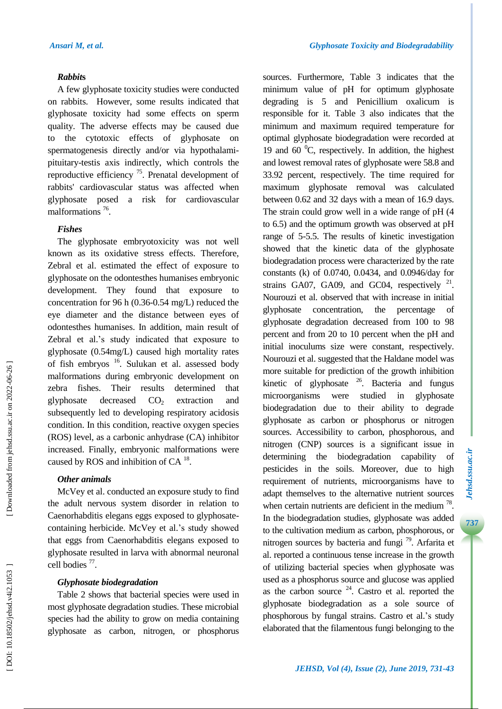#### *Rabbit* **s**

A few glyphosate toxicity studies were conducted on rabbits. However, some results indicate d that glyphosate toxicity had some effects on sperm quality. The adverse effects may be caused due to the cytotoxic effects of glyphosate on spermatogenesis directly and/or via hypothalami pituitary -testis axis indirectly, which controls the reproductive efficiency  $75$ . Prenatal development of rabbits' cardiovascular status was affected when glyphosate pose d a risk for cardiovascular malformations<sup>76</sup>.

## *Fishes*

The glyphosate embryotoxicity was not well known as its oxidative stress effects. Therefore, Zebral et al . estimate d the effect of exposure to glyphosate on the odontesthes humanises embryonic development. They found that exposure to concentration for 96 h (0.36 -0.54 mg/L) reduced the eye diameter and the distance between eyes of odontesthes humanises. In addition, main result of Zebral et al .'s study indicated that exposure to glyphosate (0.54mg/L) caused high mortality rates of fish embryos <sup>16</sup>. Sulukan et al. assessed body malformations during embryonic development on zebra fish Their results determined that glyphosate decrease  $CO<sub>2</sub>$ extraction and subsequently led to developing respiratory acidosis condition. In this condition, reactive oxygen species (ROS) level , as a carbonic anhydrase (CA) inhibitor increased. Finally, embryonic malformations were caused by ROS and inhibition of CA $^{18}$ .

#### *Other animals*

[McVey](https://www.ncbi.nlm.nih.gov/pubmed/?term=McVey%20KA%5BAuthor%5D&cauthor=true&cauthor_uid=27019975) et al . conducted an exposure study to find the adult nervous system disorder in relation to Caenorhabditis elegans eggs exposed to glyphosate containing herbicide. McVey et al .'s study showed that eggs from Caenorhabditis elegans exposed to glyphosate resulted in larva with abnormal neuronal cell bodies<sup>77</sup>.

## *Glyphosate biodegradation*

Table 2 shows that bacterial species were used in most glyphosate degradation studies. These microbial species had the ability to grow on media containing glyphosate as carbon, nitrogen , or phosphorus

sources. Furthermore, Table 3 indicates that the minimum value of pH for optimum glyphosate degrading is 5 and Penicillium oxalicum is responsible for it. Table 3 also indicate s that the minimum and maximum required temperature for optimal glyphosate biodegradation were recorded at 19 and 60 $\mathrm{^0C}$ , respectively. In addition, the highest and lowest removal rates of glyphosate were 58.8 and 33.92 percent, respectively. The time required for maximum glyphosate removal was calculated between 0.62 and 32 days with a mean of 16.9 day s . The strain could grow well in a wide range of pH (4 to 6.5) and the optimum growth was observed at pH range of 5 -5.5. The results of kinetic investigation showed that the kinetic data of the glyphosate biodegradation process were characterized by the rate constants (k) of 0.0740, 0.0434 , and 0.0946/day for strains GA07, GA09, and GC04, respectively  $21$ . Nourouzi et al. observed that with increase in initial glyphosate concentration, the percentage of glyphosate degradation decreased from 100 to 98 percent and from 20 to 10 percent when the pH and initial inoculums size were constant, respectively. Nourouzi et al . suggested that the Haldane model was more suitable for prediction of the growth inhibition kinetic of glyphosate  $26$ . Bacteria and fungus microorganisms were studied in glyphosate biodegradation due to their ability to degrade glyphosate as carbon or phosphorus or nitrogen source s. Accessibility to carbon, phosphorous , and nitrogen (CNP) sources is a significant issue in determining the biodegradation capability of pesticides in the soils. Moreover, due to high requirement of nutrients, microorganism s have to adapt themselves to the alternative nutrient sources when certain nutrients are deficient in the medium  $^{78}$ . In the biodegradation studies, glyphosate was added to the cultivation medium as carbon, phosphorous , or nitrogen sources by bacteria and fungi<sup>79</sup>. Arfarita et al. reported a continuous tense increase in the growth of utilizing bacterial species when glyphosate was used as a phosphorus source and glucose was applied as the carbon source  $24$ . Castro et al. reported the glyphosate biodegradation as a sole source of phosphorous by fungal strains. Castro et al .'s study elaborated that the filamentous fungi belonging to the

**7**

Downloaded from jehsd.ssu.ac.ir on 2022-06-26 ]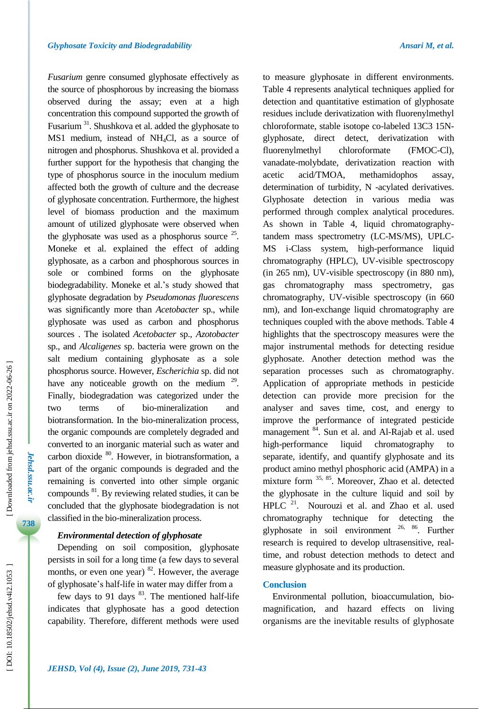**Jehsd.ssu.ac.ir** *Jehsd.ssu.ac.ir*

Downloaded from jehsd.ssu.ac.ir on 2022-06-26

*Fusarium* genre consumed glyphosate effectively as the source of phosphorous by increasing the biomass observed during the assay; even at a high concentration this compound supported the growth of Fusarium<sup>31</sup>. Shushkova et al. added the glyphosate to MS1 medium , instead of NH <sup>4</sup>Cl , as a source of nitrogen and phosphorus. Shushkova et al. provide d a further support for the hypothesis that changing the type of phosphorus source in the inoculum medium affected both the growth of culture and the decrease of glyphosate concentration. Furthermore, the highest level of biomass production and the maximum amount of utilized glyphosate were observed when the glyphosate was used as a phosphorus source  $25$ . Moneke et al. explained the effect of adding glyphosate , as a carbon and phosphorous sources in sole or combined form s on the glyphosate biodegradability. Moneke et al .'s study showed that glyphosate degradation by *Pseudomonas fluorescens* was significantly more than *Acetobacter* sp. , while glyphosate was used as carbon and phosphorus sources . The isolated *Acetobacter* sp., *Azotobacter* sp. , and *Alcaligenes* sp. bacteria were grown on the salt medium containing glyphosate as a sole phosphorus source. However, *Escherichia* sp. did not have any noticeable growth on the medium  $29$ . Finally, biodegradation was categorized under the two terms of bio-mineralization and biotransformation. In the bio -mineralization process, the organic compounds are completely degraded and converted to an inorganic material such as water and carbon dioxide <sup>80</sup>. However, in biotransformation, a part of the organic compounds is degraded and the remaining is converted into other simple organic compounds <sup>81</sup>. By reviewing related studies, it can be concluded that the glyphosate biodegradation is not classified in the bio -mineralization process .

#### *Environmental detection of glyphosate*

Depending on soil composition, glyphosate persists in soil for a long time (a few days to several months, or even one year)  $82$ . However, the average of glyphosate's half-life in water may differ from a

few days to 91 days  $83$ . The mentioned half-life indicates that glyphosate has a good detection capability. Therefore, different methods were used to measure glyphosate in different environments. Table 4 represents analytical techniques applied for detection and quantitative estimation of glyphosate residues include derivatization with fluorenylmethyl chloroformate, stable isotope co -labeled 13C3 15N glyphosate, direct detect, derivatization with fluorenylmethyl chloroformate (FMOC-Cl), vanadate-molybdate, derivatization reaction with acetic acid/TMOA, methamidophos assay, determination of turbidity, N -acylated derivatives. Glyphosate detection in various media was performed through complex analytical procedures. As shown in Table 4, liquid chromatography tandem mass spectrometry (LC-MS/MS), UPLC-MS i -Class system, high -performance liquid chromatography (HPLC), UV -visible spectroscopy (in 265 nm), UV -visible spectroscopy (in 880 nm), gas chromatography mass spectrometry, gas chromatography, UV -visible spectroscopy (in 660 nm), and Ion -exchange liquid chromatography are techniques coupled with the above methods. Table 4 highlights that the spectroscopy measures were the major instrumental methods for detecting residue glyphosate. Another detection method was the separation processes such as chromatography. Application of appropriate methods in pesticide detection can provide more precision for the analyser and saves time, cost , and energy to improve the performance of integrated pesticide management <sup>84</sup>. Sun et al. and Al-Rajab et al. used high-performance liquid chromatography to separate, identify, and quantify glyphosate and its product amino methyl phosphoric acid (AMPA) in a mixture form 35, 85 . Moreover, Zhao et al . detected the glyphosate in the culture liquid and soil by HPLC<sup>21</sup>. Nourouzi et al. and Zhao et al. used chromatography technique for detecting the glyphosate in soil environment 26, 86 . Further research is required to develop ultrasensitive, real time , and robust detection methods to detect and measure glyphosate and its production.

## **Conclusion**

Environmental pollution, bioaccumulation, bio magnification , and hazard effects on living organisms are the inevitable results of glyphosate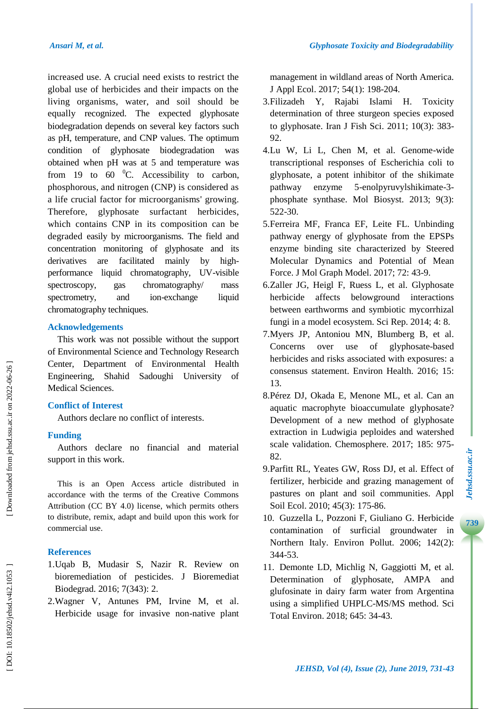increased use. A crucial need exists to restrict the global use of herbicides and their impacts on the living organisms, water , and soil should be equally recognized . The expected glyphosate biodegradation depends on several key factors such as pH, temperature , and CNP value s. The optimum condition of glyphosate biodegradation was obtained when pH was at 5 and temperature was from 19 to 60  $^{0}$ C. Accessibility to carbon, phosphorous , and nitrogen (CNP) is considered as a life crucial factor for microorganisms' growing . Therefore, glyphosate surfactant herbicides, which contains CNP in its composition can be degraded easily by microorganisms. The field and concentration monitoring of glyphosate and its derivatives are facilitated mainly by highperformance liquid chromatography, UV -visible spectroscopy, gas chromatography/ mass spectrometry, and ion-exchange liquid chromatography techniques.

#### **Acknowledgements**

This work was not possible without the support of Environmental Science and Technology Research Center, Department of Environmental Health Engineering, Shahid Sadoughi University of Medical Sciences.

## **Conflict of Interest**

Authors declare no conflict of interests.

## **Funding**

Authors declare no financial and material support in this work.

This is an Open Access article distributed in accordance with the terms of the Creative Commons Attribution (CC BY 4.0) license, which permits others to distribute, remix, adapt and build upon this work for commercial use.

## **References**

- 1.Uqab B, Mudasir S, Nazir R. Review on bioremediation of pesticides. J Bioremediat Biodegrad. 2016; 7(343): 2.
- 2 .Wagner V, Antunes PM, Irvine M, et al. Herbicide usage for invasive non -native plant

management in wildland areas of North America. J Appl Ecol. 2017; 54(1): 198 -204.

- 3 .Filizadeh Y, Rajabi Islami H. Toxicity determination of three sturgeon species exposed to glyphosate. Iran J Fish Sci. 2011; 10(3): 383 - 92.
- 4 .Lu W, Li L, Chen M, et al. Genome -wide transcriptional responses of Escherichia coli to glyphosate, a potent inhibitor of the shikimate pathway enzyme 5 -enolpyruvylshikimate - 3 phosphate synthase. Mol Biosyst. 2013; 9(3): 522 -30.
- 5 .Ferreira MF, Franca EF, Leite FL. Unbinding pathway energy of glyphosate from the EPSPs enzyme binding site characterized by Steered Molecular Dynamics and Potential of Mean Force. J Mol Graph Model. 2017; 72: 43 -9.
- 6 .Zaller JG, Heigl F, Ruess L, et al. Glyphosate herbicide affects belowground interactions between earthworms and symbiotic mycorrhizal fungi in a model ecosystem. Sci Rep. 2014; 4: 8.
- 7 .Myers JP, Antoniou MN, Blumberg B, et al. Concerns over use of glyphosate -based herbicides and risks associated with exposures: a consensus statement. Environ Health. 2016; 15: 13.
- 8 .Pérez DJ, Okada E, Menone ML, et al. Can an aquatic macrophyte bioaccumulate glyphosate? Development of a new method of glyphosate extraction in Ludwigia peploides and watershed scale validation. Chemosphere. 2017; 185: 975 - 82.
- 9 .Parfitt RL, Yeates GW, Ross DJ, et al. Effect of fertilizer, herbicide and grazing management of pastures on plant and soil communities. Appl Soil Ecol. 2010; 45(3): 175 -86.
- 10 . Guzzella L, Pozzoni F, Giuliano G. Herbicide contamination of surficial groundwater in Northern Italy. Environ Pollut. 2006; 142(2): 344 -53.
- 11 . Demonte LD, Michlig N, Gaggiotti M, et al. Determination of glyphosate, AMPA and glufosinate in dairy farm water from Argentina using a simplified UHPLC -MS/MS method. Sci Total Environ. 2018; 645: 34 -43.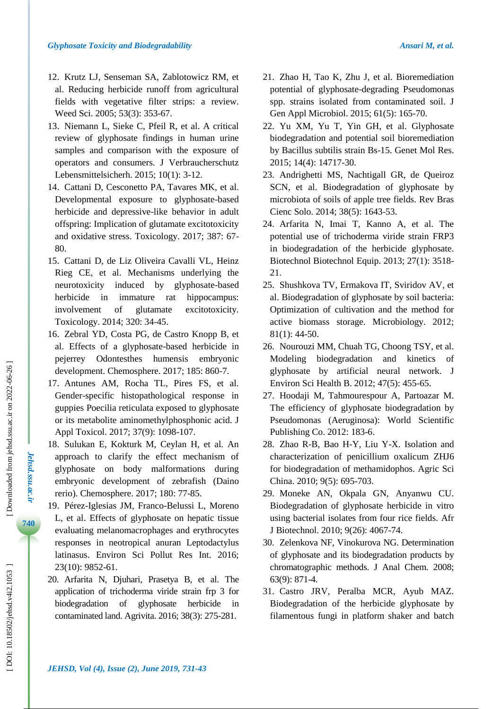- 12 . Krutz LJ, Senseman SA, Zablotowicz RM, et al. Reducing herbicide runoff from agricultural fields with vegetative filter strips: a review. Weed Sci. 2005; 53(3): 353 -67.
- 13 . Niemann L, Sieke C, Pfeil R, et al. A critical review of glyphosate findings in human urine samples and comparison with the exposure of operators and consumers. J Verbraucherschutz Lebensmittelsicherh. 2015; 10(1): 3 -12.
- 14 . Cattani D, Cesconetto PA, Tavares MK, et al. Developmental exposure to glyphosate -based herbicide and depressive -like behavior in adult offspring: Implication of glutamate excitotoxicity and oxidative stress. Toxicology. 2017; 387: 67 - 80.
- 15 . Cattani D, de Liz Oliveira Cavalli VL, Heinz Rieg CE, et al. Mechanisms underlying the neurotoxicity induced by glyphosate-based herbicide in immature rat hippocampus: involvement of glutamate excitotoxicity. Toxicology. 2014; 320: 34 -45.
- 16 . Zebral YD, Costa PG, de Castro Knopp B, et al. Effects of a glyphosate -based herbicide in pejerrey Odontesthes humensis embryonic development. Chemosphere. 2017; 185: 860 -7.
- 17 . Antunes AM, Rocha TL, Pires FS, et al. Gender -specific histopathological response in guppies Poecilia reticulata exposed to glyphosate or its metabolite aminomethylphosphonic acid. J Appl Toxicol. 2017; 37(9): 1098 -107.
- 18 . Sulukan E, Kokturk M, Ceylan H, et al. An approach to clarify the effect mechanism of glyphosate on body malformations during embryonic development of zebrafish (Daino rerio). Chemosphere. 2017; 180: 77 -85.
- 19 . Pérez -Iglesias JM, Franco -Belussi L, Moreno L, et al. Effects of glyphosate on hepatic tissue evaluating melanomacrophages and erythrocytes responses in neotropical anuran Leptodactylus latinasus. Environ Sci Pollut Res Int. 2016; 23(10): 9852 -61.
- 20 . Arfarita N, Djuhari, Prasetya B, et al. The application of trichoderma viride strain frp 3 for biodegradation of glyphosate herbicide in contaminated land. Agrivita. 2016; 38(3): 275 -281.
- 21 . Zhao H, Tao K, Zhu J, et al. Bioremediation potential of glyphosate -degrading Pseudomonas spp. strains isolated from contaminated soil. J Gen Appl Microbiol. 2015; 61(5): 165 -70.
- 22 . Yu XM, Yu T, Yin GH, et al. Glyphosate biodegradation and potential soil bioremediation by Bacillus subtilis strain Bs -15. Genet Mol Res. 2015; 14(4): 14717 -30.
- 23 . Andrighetti MS, Nachtigall GR, de Queiroz SCN, et al. Biodegradation of glyphosate by microbiota of soils of apple tree fields. Rev Bras Cienc Solo. 2014; 38(5): 1643 -53.
- 24 . Arfarita N, Imai T, Kanno A, et al. The potential use of trichoderma viride strain FRP3 in biodegradation of the herbicide glyphosate. Biotechnol Biotechnol Equip. 2013; 27(1): 3518 - 21.
- 25 . Shushkova TV, Ermakova IT, Sviridov AV, et al. Biodegradation of glyphosate by soil bacteria: Optimization of cultivation and the method for active biomass storage. Microbiology. 2012; 81(1): 44 -50.
- 26 . Nourouzi MM, Chuah TG, Choong TSY, et al. Modeling biodegradation and kinetics glyphosate by artificial neural network. J Environ Sci Health B. 2012; 47(5): 455 -65.
- 27 . Hoodaji M, Tahmourespour A, Partoazar M. The efficiency of glyphosate biodegradation by Pseudomonas (Aeruginosa): World Scientific Publishing Co. 2012 : 183 -6.
- 28 . Zhao R -B, Bao H -Y, Liu Y -X. Isolation and characterization of penicillium oxalicum ZHJ6 for biodegradation of methamidophos. Agric Sci China. 2010; 9(5): 695 -703.
- 29 . Moneke AN, Okpala GN, Anyanwu CU. Biodegradation of glyphosate herbicide in vitro using bacterial isolates from four rice fields. Afr J Biotechnol. 2010; 9(26): 4067 -74.
- 30 . Zelenkova NF, Vinokurova NG. Determination of glyphosate and its biodegradation products by chromatographic methods. J Anal Chem. 2008; 63(9): 871 -4.
- 31 . Castro J RV, Peralba MCR, Ayub MAZ. Biodegradation of the herbicide glyphosate by filamentous fungi in platform shaker and batch

*Jehsd.ssu.ac.ir*

Jehsd.ssu.ac.ir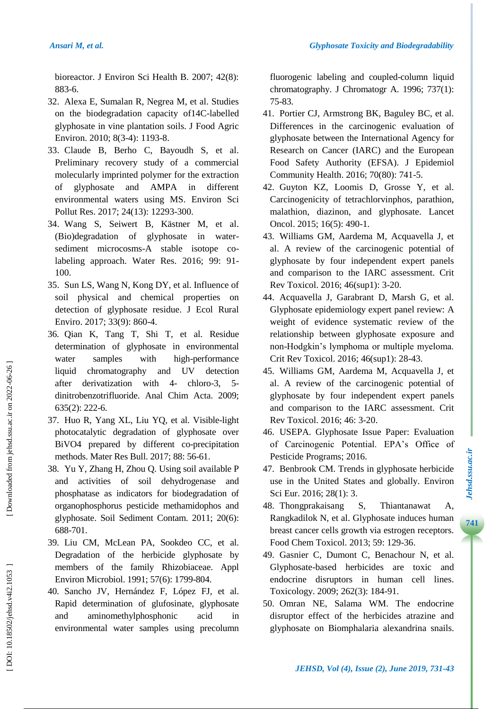bioreactor. J Environ Sci Health B. 2007; 42(8): 883 -6.

- 32 . Alexa E, Sumalan R, Negrea M, et al. Studies on the biodegradation capacity of14C -labelled glyphosate in vine plantation soils. J Food Agric Environ. 2010; 8(3-4): 1193-8.
- 33 . Claude B, Berho C, Bayoudh S, et al. Preliminary recovery study of a commercial molecularly imprinted polymer for the extraction of glyphosate and AMPA in different environmental waters using MS. Environ Sci Pollut Res. 2017; 24(13): 12293-300.
- 34 . Wang S, Seiwert B, Kästner M, et al.  $(Bio)$ degradation of glyphosate in watersediment microcosms-A stable isotope colabeling approach. Water Res. 2016; 99: 91 - 100.
- 35 . Sun LS, Wang N, Kong DY, et al. Influence of soil physical and chemical properties on detection of glyphosate residue. J Ecol Rural Enviro. 2017; 33(9): 860 -4.
- 36 . Qian K, Tang T, Shi T, et al. Residue determination of glyphosate in environmental water samples with high-performance liquid chromatography and UV detection after derivatization with 4 - chloro-3, 5 dinitrobenzotrifluoride. Anal Chim Acta. 2009; 635(2): 222 -6.
- 37 . Huo R, Yang XL, Liu YQ, et al. Visible -light photocatalytic degradation of glyphosate over BiVO4 prepared by different co -precipitation methods. Mater Res Bull. 2017; 88: 56 -61.
- 38 . Yu Y, Zhang H, Zhou Q. Using soil available P and activities of soil dehydrogenase and phosphatase as indicators for biodegradation of organophosphorus pesticide methamidophos and glyphosate. Soil Sediment Contam. 2011; 20(6): 688 -701.
- 39 . Liu CM, McLean PA, Sookdeo CC, et al. Degradation of the herbicide glyphosate by members of the family Rhizobiaceae. Appl Environ Microbiol. 1991; 57(6): 1799 -804.
- 40 . Sancho JV, Hernández F, López FJ, et al. Rapid determination of glufosinate, glyphosate and aminomethylphosphonic acid in environmental water samples using precolumn

fluorogenic labeling and coupled -column liquid chromatography. J Chromatogr A. 1996; 737(1): 75 -83.

- 41 . Portier CJ, Armstrong BK, Baguley BC, et al. Differences in the carcinogenic evaluation of glyphosate between the International Agency for Research on Cancer (IARC) and the European Food Safety Authority (EFSA). J Epidemiol Community Health. 2016; 70(80): 741 -5.
- 42 . Guyton KZ, Loomis D, Grosse Y, et al. Carcinogenicity of tetrachlorvinphos, parathion, malathion, diazinon, and glyphosate. Lancet Oncol. 2015; 16(5): 490-1.
- 43 . Williams GM, Aardema M, Acquavella J, et al. A review of the carcinogenic potential of glyphosate by four independent expert panels and comparison to the IARC assessment. Crit Rev Toxicol. 2016; 46(sup1): 3 -20.
- 44 . Acquavella J, Garabrant D, Marsh G, et al. Glyphosate epidemiology expert panel review: A weight of evidence systematic review of the relationship between glyphosate exposure and non -Hodgkin's lymphoma or multiple myeloma. Crit Rev Toxicol. 2016; 46(sup1): 28 -43.
- 45 . Williams GM, Aardema M, Acquavella J, et al. A review of the carcinogenic potential of glyphosate by four independent expert panels and comparison to the IARC assessment. Crit Rev Toxicol. 2016; 46: 3 -20.
- 46 . USEPA. Glyphosate Issue Paper: Evaluation of Carcinogenic Potential. EPA's Office of Pesticide Programs; 2016.
- 47 . Benbrook CM. Trends in glyphosate herbicide use in the United States and globally. Environ Sci Eur. 2016; 28(1): 3.
- 48 . Thongprakaisang S, Thiantanawat A, Rangkadilok N, et al. Glyphosate induces human breast cancer cells growth via estrogen receptors. Food Chem Toxicol. 2013; 59: 129 -36.
- 49 . Gasnier C, Dumont C, Benachour N, et al. Glyphosate -based herbicides are toxic and endocrine disruptors in human cell lines. Toxicology. 2009; 262(3): 184 -91.
- 50 . Omran NE, Salama WM. The endocrine disruptor effect of the herbicides atrazine and glyphosate on Biomphalaria alexandrina snails.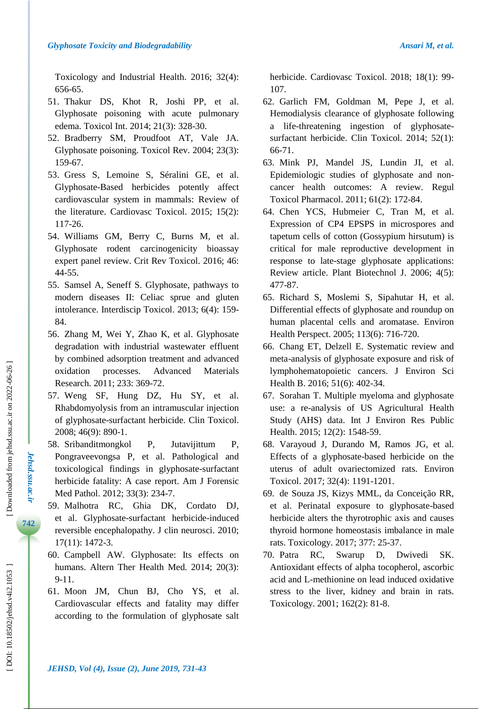Toxicology and Industrial Health. 2016; 32(4): 656 -65.

- 51 . Thakur DS, Khot R, Joshi PP, et al. Glyphosate poisoning with acute pulmonary edema. Toxicol Int. 2014; 21(3): 328 -30.
- 52 . Bradberry SM, Proudfoot AT, Vale JA. Glyphosate poisoning. Toxicol Rev. 2004; 23(3): 159 -67.
- 53 . Gress S, Lemoine S, Séralini GE, et al. Glyphosate -Based herbicides potently affect cardiovascular system in mammals: Review of the literature. Cardiovasc Toxicol. 2015; 15(2): 117 -26.
- 54 . Williams GM, Berry C, Burns M, et al. Glyphosate rodent carcinogenicity bioassay expert panel review. Crit Rev Toxicol. 2016; 46: 44 -55.
- 55 . Samsel A, Seneff S. Glyphosate, pathways to modern diseases II: Celiac sprue and gluten intolerance. Interdiscip Toxicol. 2013; 6(4): 159 - 84.
- 56 . Zhang M, Wei Y, Zhao K, et al. Glyphosate degradation with industrial wastewater effluent by combined adsorption treatment and advanced oxidation processes. Advanced Materials Research. 2011; 233: 369 -72.
- 57 . Weng SF, Hung DZ, Hu SY, et al. Rhabdomyolysis from an intramuscular injection of glyphosate -surfactant herbicide. Clin Toxicol. 2008; 46(9): 890 -1.
- 58 . Sribanditmongkol P, Jutavijittum P, Pongraveevongsa P, et al. Pathological and toxicological findings in glyphosate -surfactant herbicide fatality: A case report. Am J Forensic Med Pathol. 2012; 33(3): 234 -7.
- 59 . Malhotra RC, Ghia DK, Cordato DJ, et al. Glyphosate -surfactant herbicide -induced reversible encephalopathy. J clin neurosci. 2010; 17(11): 1472 -3.
- 60 . Campbell AW. Glyphosate: Its effects on humans. Altern Ther Health Med. 2014; 20(3): 9-11.
- 61 . Moon JM, Chun BJ, Cho YS, et al. Cardiovascular effects and fatality may differ according to the formulation of glyphosate salt

herbicide. Cardiovasc Toxicol. 2018; 18(1): 99 - 107.

- 62 . Garlich FM, Goldman M, Pepe J, et al. Hemodialysis clearance of glyphosate following a life-threatening ingestion of glyphosatesurfactant herbicide. Clin Toxicol. 2014; 52(1): 66 -71.
- 63 . Mink PJ, Mandel JS, Lundin JI, et al. Epidemiologic studies of glyphosate and non cancer health outcomes: A review. Regul Toxicol Pharmacol. 2011; 61(2): 172 -84.
- 64 . Chen YCS, Hubmeier C, Tran M, et al. Expression of CP4 EPSPS in microspores and tapetum cells of cotton (Gossypium hirsutum) is critical for male reproductive development in response to late -stage glyphosate applications: Review article. Plant Biotechnol J. 2006; 4(5): 477 -87.
- 65 . Richard S, Moslemi S, Sipahutar H, et al. Differential effects of glyphosate and roundup on human placental cells and aromatase. Environ Health Perspect. 2005; 113(6): 716 -720.
- 66 . Chang ET, Delzell E. Systematic review and meta -analysis of glyphosate exposure and risk of lymphohematopoietic cancers. J Environ Sci Health B. 2016; 51(6): 402-34.
- 67 . Sorahan T. Multiple myeloma and glyphosate use: a re -analysis of US Agricultural Health Study (AHS) data. Int J Environ Res Public Health. 2015; 12(2): 1548 -59.
- 68 . Varayoud J, Durando M, Ramos JG, et al. Effects of a glyphosate -based herbicide on the uterus of adult ovariectomized rats. Environ Toxicol. 2017; 32(4): 1191 -1201.
- 69 . de Souza JS, Kizys MML, da Conceição RR, et al. Perinatal exposure to glyphosate -based herbicide alters the thyrotrophic axis and causes thyroid hormone homeostasis imbalance in male rats. Toxicology. 2017; 377: 25 -37.
- 70 . Patra RC, Swarup D, Dwivedi SK. Antioxidant effects of alpha tocopherol, ascorbic acid and L -methionine on lead induced oxidative stress to the liver, kidney and brain in rats. Toxicology. 2001; 162(2): 81 -8.

*Jehsd.ssu.ac.ir*

*Jehsd.ssu.ac.ir*